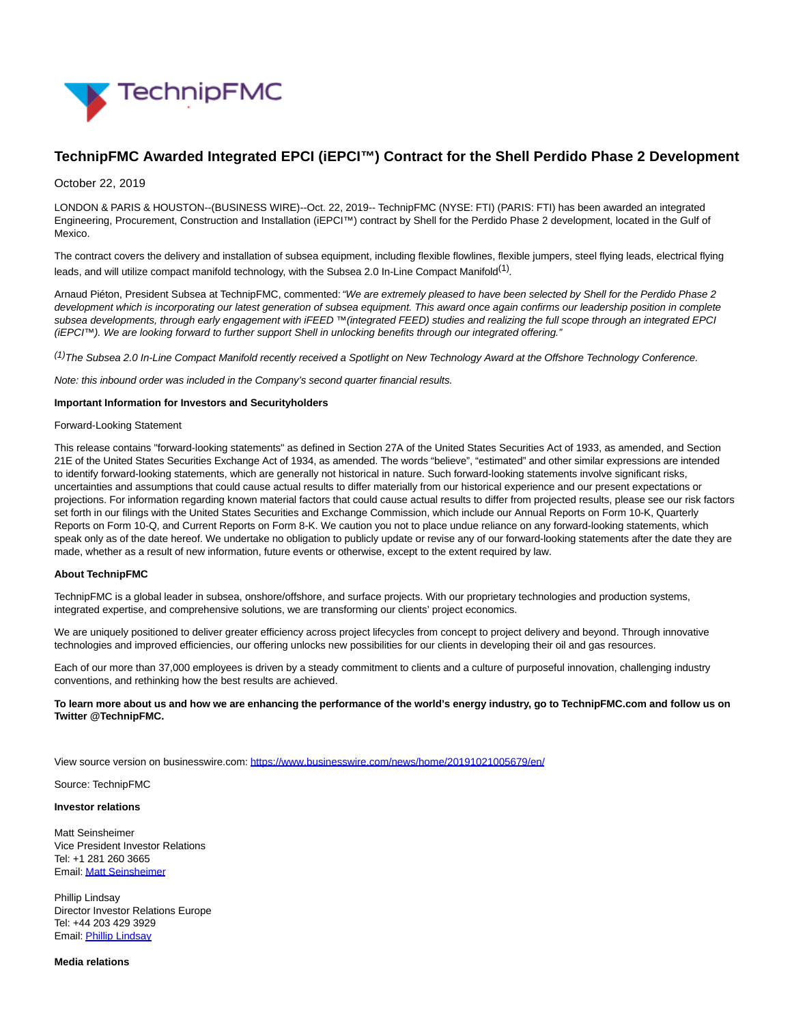

# **TechnipFMC Awarded Integrated EPCI (iEPCI™) Contract for the Shell Perdido Phase 2 Development**

# October 22, 2019

LONDON & PARIS & HOUSTON--(BUSINESS WIRE)--Oct. 22, 2019-- TechnipFMC (NYSE: FTI) (PARIS: FTI) has been awarded an integrated Engineering, Procurement, Construction and Installation (iEPCI™) contract by Shell for the Perdido Phase 2 development, located in the Gulf of Mexico.

The contract covers the delivery and installation of subsea equipment, including flexible flowlines, flexible jumpers, steel flying leads, electrical flying leads, and will utilize compact manifold technology, with the Subsea 2.0 In-Line Compact Manifold<sup>(1)</sup>.

Arnaud Piéton, President Subsea at TechnipFMC, commented: "We are extremely pleased to have been selected by Shell for the Perdido Phase 2 development which is incorporating our latest generation of subsea equipment. This award once again confirms our leadership position in complete subsea developments, through early engagement with iFEED ™(integrated FEED) studies and realizing the full scope through an integrated EPCI (iEPCI™). We are looking forward to further support Shell in unlocking benefits through our integrated offering."

(1)The Subsea 2.0 In-Line Compact Manifold recently received a Spotlight on New Technology Award at the Offshore Technology Conference.

Note: this inbound order was included in the Company's second quarter financial results.

### **Important Information for Investors and Securityholders**

#### Forward-Looking Statement

This release contains "forward-looking statements" as defined in Section 27A of the United States Securities Act of 1933, as amended, and Section 21E of the United States Securities Exchange Act of 1934, as amended. The words "believe", "estimated" and other similar expressions are intended to identify forward-looking statements, which are generally not historical in nature. Such forward-looking statements involve significant risks, uncertainties and assumptions that could cause actual results to differ materially from our historical experience and our present expectations or projections. For information regarding known material factors that could cause actual results to differ from projected results, please see our risk factors set forth in our filings with the United States Securities and Exchange Commission, which include our Annual Reports on Form 10-K, Quarterly Reports on Form 10-Q, and Current Reports on Form 8-K. We caution you not to place undue reliance on any forward-looking statements, which speak only as of the date hereof. We undertake no obligation to publicly update or revise any of our forward-looking statements after the date they are made, whether as a result of new information, future events or otherwise, except to the extent required by law.

# **About TechnipFMC**

TechnipFMC is a global leader in subsea, onshore/offshore, and surface projects. With our proprietary technologies and production systems, integrated expertise, and comprehensive solutions, we are transforming our clients' project economics.

We are uniquely positioned to deliver greater efficiency across project lifecycles from concept to project delivery and beyond. Through innovative technologies and improved efficiencies, our offering unlocks new possibilities for our clients in developing their oil and gas resources.

Each of our more than 37,000 employees is driven by a steady commitment to clients and a culture of purposeful innovation, challenging industry conventions, and rethinking how the best results are achieved.

# **To learn more about us and how we are enhancing the performance of the world's energy industry, go to TechnipFMC.com and follow us on Twitter @TechnipFMC.**

View source version on businesswire.com:<https://www.businesswire.com/news/home/20191021005679/en/>

Source: TechnipFMC

#### **Investor relations**

Matt Seinsheimer Vice President Investor Relations Tel: +1 281 260 3665 Email[: Matt Seinsheimer](mailto:InvestorRelations@TechnipFMC.com)

Phillip Lindsay Director Investor Relations Europe Tel: +44 203 429 3929 Email[: Phillip Lindsay](mailto:investorrelations@technipfmc.com)

**Media relations**